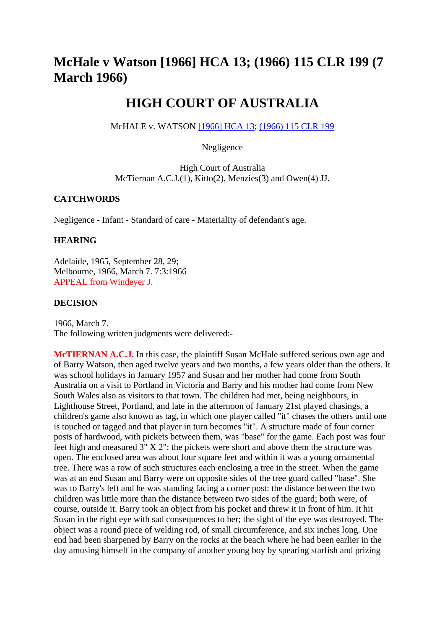# **McHale v Watson [1966] HCA 13; (1966) 115 CLR 199 (7 March 1966)**

## **HIGH COURT OF AUSTRALIA**

McHALE v. WATSON [1966] HCA 13; (1966) 115 CLR 199

Negligence

High Court of Australia McTiernan A.C.J.(1), Kitto(2), Menzies(3) and Owen(4) JJ.

#### **CATCHWORDS**

Negligence - Infant - Standard of care - Materiality of defendant's age.

#### **HEARING**

Adelaide, 1965, September 28, 29; Melbourne, 1966, March 7. 7:3:1966 APPEAL from Windeyer J.

#### **DECISION**

1966, March 7. The following written judgments were delivered:-

**McTIERNAN A.C.J.** In this case, the plaintiff Susan McHale suffered serious own age and of Barry Watson, then aged twelve years and two months, a few years older than the others. It was school holidays in January 1957 and Susan and her mother had come from South Australia on a visit to Portland in Victoria and Barry and his mother had come from New South Wales also as visitors to that town. The children had met, being neighbours, in Lighthouse Street, Portland, and late in the afternoon of January 21st played chasings, a children's game also known as tag, in which one player called "it" chases the others until one is touched or tagged and that player in turn becomes "it". A structure made of four corner posts of hardwood, with pickets between them, was "base" for the game. Each post was four feet high and measured 3" X 2": the pickets were short and above them the structure was open. The enclosed area was about four square feet and within it was a young ornamental tree. There was a row of such structures each enclosing a tree in the street. When the game was at an end Susan and Barry were on opposite sides of the tree guard called "base". She was to Barry's left and he was standing facing a corner post: the distance between the two children was little more than the distance between two sides of the guard; both were, of course, outside it. Barry took an object from his pocket and threw it in front of him. It hit Susan in the right eye with sad consequences to her; the sight of the eye was destroyed. The object was a round piece of welding rod, of small circumference, and six inches long. One end had been sharpened by Barry on the rocks at the beach where he had been earlier in the day amusing himself in the company of another young boy by spearing starfish and prizing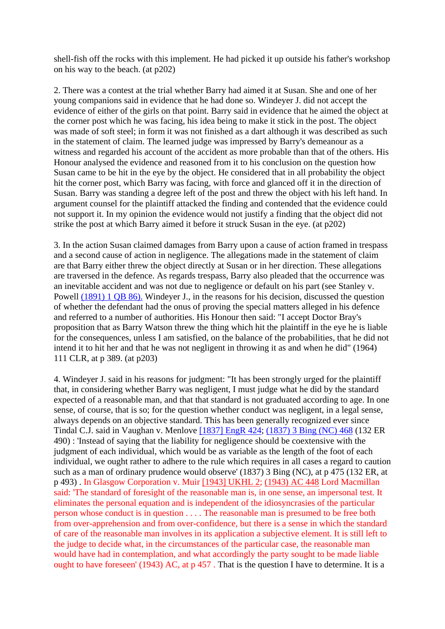shell-fish off the rocks with this implement. He had picked it up outside his father's workshop on his way to the beach. (at p202)

2. There was a contest at the trial whether Barry had aimed it at Susan. She and one of her young companions said in evidence that he had done so. Windeyer J. did not accept the evidence of either of the girls on that point. Barry said in evidence that he aimed the object at the corner post which he was facing, his idea being to make it stick in the post. The object was made of soft steel; in form it was not finished as a dart although it was described as such in the statement of claim. The learned judge was impressed by Barry's demeanour as a witness and regarded his account of the accident as more probable than that of the others. His Honour analysed the evidence and reasoned from it to his conclusion on the question how Susan came to be hit in the eye by the object. He considered that in all probability the object hit the corner post, which Barry was facing, with force and glanced off it in the direction of Susan. Barry was standing a degree left of the post and threw the object with his left hand. In argument counsel for the plaintiff attacked the finding and contended that the evidence could not support it. In my opinion the evidence would not justify a finding that the object did not strike the post at which Barry aimed it before it struck Susan in the eye. (at p202)

3. In the action Susan claimed damages from Barry upon a cause of action framed in trespass and a second cause of action in negligence. The allegations made in the statement of claim are that Barry either threw the object directly at Susan or in her direction. These allegations are traversed in the defence. As regards trespass, Barry also pleaded that the occurrence was an inevitable accident and was not due to negligence or default on his part (see Stanley v. Powell (1891) 1 QB 86). Windeyer J., in the reasons for his decision, discussed the question of whether the defendant had the onus of proving the special matters alleged in his defence and referred to a number of authorities. His Honour then said: "I accept Doctor Bray's proposition that as Barry Watson threw the thing which hit the plaintiff in the eye he is liable for the consequences, unless I am satisfied, on the balance of the probabilities, that he did not intend it to hit her and that he was not negligent in throwing it as and when he did" (1964) 111 CLR, at p 389. (at p203)

4. Windeyer J. said in his reasons for judgment: "It has been strongly urged for the plaintiff that, in considering whether Barry was negligent, I must judge what he did by the standard expected of a reasonable man, and that that standard is not graduated according to age. In one sense, of course, that is so; for the question whether conduct was negligent, in a legal sense, always depends on an objective standard. This has been generally recognized ever since Tindal C.J. said in Vaughan v. Menlove [1837] EngR 424; (1837) 3 Bing (NC) 468 (132 ER 490) : 'Instead of saying that the liability for negligence should be coextensive with the judgment of each individual, which would be as variable as the length of the foot of each individual, we ought rather to adhere to the rule which requires in all cases a regard to caution such as a man of ordinary prudence would observe' (1837) 3 Bing (NC), at p 475 (132 ER, at p 493) . In Glasgow Corporation v. Muir [1943] UKHL 2; (1943) AC 448 Lord Macmillan said: 'The standard of foresight of the reasonable man is, in one sense, an impersonal test. It eliminates the personal equation and is independent of the idiosyncrasies of the particular person whose conduct is in question . . . . The reasonable man is presumed to be free both from over-apprehension and from over-confidence, but there is a sense in which the standard of care of the reasonable man involves in its application a subjective element. It is still left to the judge to decide what, in the circumstances of the particular case, the reasonable man would have had in contemplation, and what accordingly the party sought to be made liable ought to have foreseen' (1943) AC, at p 457 . That is the question I have to determine. It is a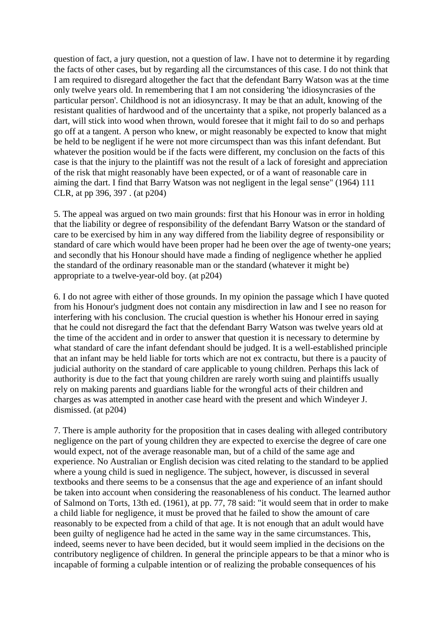question of fact, a jury question, not a question of law. I have not to determine it by regarding the facts of other cases, but by regarding all the circumstances of this case. I do not think that I am required to disregard altogether the fact that the defendant Barry Watson was at the time only twelve years old. In remembering that I am not considering 'the idiosyncrasies of the particular person'. Childhood is not an idiosyncrasy. It may be that an adult, knowing of the resistant qualities of hardwood and of the uncertainty that a spike, not properly balanced as a dart, will stick into wood when thrown, would foresee that it might fail to do so and perhaps go off at a tangent. A person who knew, or might reasonably be expected to know that might be held to be negligent if he were not more circumspect than was this infant defendant. But whatever the position would be if the facts were different, my conclusion on the facts of this case is that the injury to the plaintiff was not the result of a lack of foresight and appreciation of the risk that might reasonably have been expected, or of a want of reasonable care in aiming the dart. I find that Barry Watson was not negligent in the legal sense" (1964) 111 CLR, at pp 396, 397 . (at p204)

5. The appeal was argued on two main grounds: first that his Honour was in error in holding that the liability or degree of responsibility of the defendant Barry Watson or the standard of care to be exercised by him in any way differed from the liability degree of responsibility or standard of care which would have been proper had he been over the age of twenty-one years; and secondly that his Honour should have made a finding of negligence whether he applied the standard of the ordinary reasonable man or the standard (whatever it might be) appropriate to a twelve-year-old boy. (at p204)

6. I do not agree with either of those grounds. In my opinion the passage which I have quoted from his Honour's judgment does not contain any misdirection in law and I see no reason for interfering with his conclusion. The crucial question is whether his Honour erred in saying that he could not disregard the fact that the defendant Barry Watson was twelve years old at the time of the accident and in order to answer that question it is necessary to determine by what standard of care the infant defendant should be judged. It is a well-established principle that an infant may be held liable for torts which are not ex contractu, but there is a paucity of judicial authority on the standard of care applicable to young children. Perhaps this lack of authority is due to the fact that young children are rarely worth suing and plaintiffs usually rely on making parents and guardians liable for the wrongful acts of their children and charges as was attempted in another case heard with the present and which Windeyer J. dismissed. (at p204)

7. There is ample authority for the proposition that in cases dealing with alleged contributory negligence on the part of young children they are expected to exercise the degree of care one would expect, not of the average reasonable man, but of a child of the same age and experience. No Australian or English decision was cited relating to the standard to be applied where a young child is sued in negligence. The subject, however, is discussed in several textbooks and there seems to be a consensus that the age and experience of an infant should be taken into account when considering the reasonableness of his conduct. The learned author of Salmond on Torts, 13th ed. (1961), at pp. 77, 78 said: "it would seem that in order to make a child liable for negligence, it must be proved that he failed to show the amount of care reasonably to be expected from a child of that age. It is not enough that an adult would have been guilty of negligence had he acted in the same way in the same circumstances. This, indeed, seems never to have been decided, but it would seem implied in the decisions on the contributory negligence of children. In general the principle appears to be that a minor who is incapable of forming a culpable intention or of realizing the probable consequences of his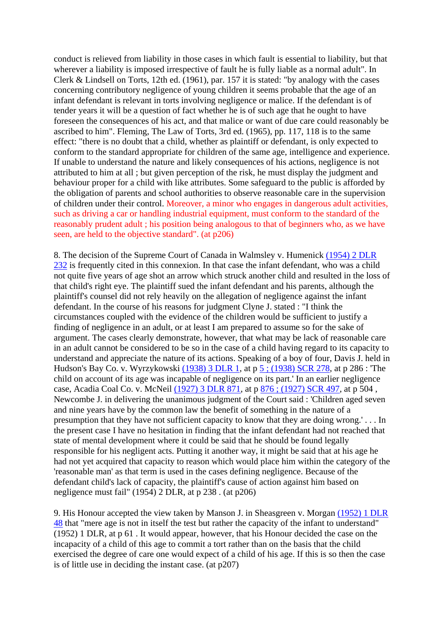conduct is relieved from liability in those cases in which fault is essential to liability, but that wherever a liability is imposed irrespective of fault he is fully liable as a normal adult". In Clerk & Lindsell on Torts, 12th ed. (1961), par. 157 it is stated: "by analogy with the cases concerning contributory negligence of young children it seems probable that the age of an infant defendant is relevant in torts involving negligence or malice. If the defendant is of tender years it will be a question of fact whether he is of such age that he ought to have foreseen the consequences of his act, and that malice or want of due care could reasonably be ascribed to him". Fleming, The Law of Torts, 3rd ed. (1965), pp. 117, 118 is to the same effect: "there is no doubt that a child, whether as plaintiff or defendant, is only expected to conform to the standard appropriate for children of the same age, intelligence and experience. If unable to understand the nature and likely consequences of his actions, negligence is not attributed to him at all ; but given perception of the risk, he must display the judgment and behaviour proper for a child with like attributes. Some safeguard to the public is afforded by the obligation of parents and school authorities to observe reasonable care in the supervision of children under their control. Moreover, a minor who engages in dangerous adult activities, such as driving a car or handling industrial equipment, must conform to the standard of the reasonably prudent adult ; his position being analogous to that of beginners who, as we have seen, are held to the objective standard". (at p206)

8. The decision of the Supreme Court of Canada in Walmsley v. Humenick (1954) 2 DLR 232 is frequently cited in this connexion. In that case the infant defendant, who was a child not quite five years of age shot an arrow which struck another child and resulted in the loss of that child's right eye. The plaintiff sued the infant defendant and his parents, although the plaintiff's counsel did not rely heavily on the allegation of negligence against the infant defendant. In the course of his reasons for judgment Clyne J. stated : "I think the circumstances coupled with the evidence of the children would be sufficient to justify a finding of negligence in an adult, or at least I am prepared to assume so for the sake of argument. The cases clearly demonstrate, however, that what may be lack of reasonable care in an adult cannot be considered to be so in the case of a child having regard to its capacity to understand and appreciate the nature of its actions. Speaking of a boy of four, Davis J. held in Hudson's Bay Co. v. Wyrzykowski (1938) 3 DLR 1, at p 5 ; (1938) SCR 278, at p 286 : 'The child on account of its age was incapable of negligence on its part.' In an earlier negligence case, Acadia Coal Co. v. McNeil (1927) 3 DLR 871, at p 876 ; (1927) SCR 497, at p 504 , Newcombe J. in delivering the unanimous judgment of the Court said : 'Children aged seven and nine years have by the common law the benefit of something in the nature of a presumption that they have not sufficient capacity to know that they are doing wrong.' . . . In the present case I have no hesitation in finding that the infant defendant had not reached that state of mental development where it could be said that he should be found legally responsible for his negligent acts. Putting it another way, it might be said that at his age he had not yet acquired that capacity to reason which would place him within the category of the 'reasonable man' as that term is used in the cases defining negligence. Because of the defendant child's lack of capacity, the plaintiff's cause of action against him based on negligence must fail" (1954) 2 DLR, at p 238 . (at p206)

9. His Honour accepted the view taken by Manson J. in Sheasgreen v. Morgan (1952) 1 DLR 48 that "mere age is not in itself the test but rather the capacity of the infant to understand" (1952) 1 DLR, at p 61 . It would appear, however, that his Honour decided the case on the incapacity of a child of this age to commit a tort rather than on the basis that the child exercised the degree of care one would expect of a child of his age. If this is so then the case is of little use in deciding the instant case. (at p207)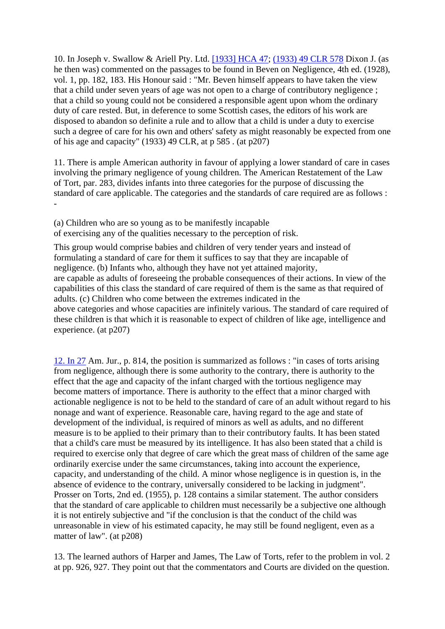10. In Joseph v. Swallow & Ariell Pty. Ltd. [1933] HCA 47; (1933) 49 CLR 578 Dixon J. (as he then was) commented on the passages to be found in Beven on Negligence, 4th ed. (1928), vol. 1, pp. 182, 183. His Honour said : "Mr. Beven himself appears to have taken the view that a child under seven years of age was not open to a charge of contributory negligence ; that a child so young could not be considered a responsible agent upon whom the ordinary duty of care rested. But, in deference to some Scottish cases, the editors of his work are disposed to abandon so definite a rule and to allow that a child is under a duty to exercise such a degree of care for his own and others' safety as might reasonably be expected from one of his age and capacity" (1933) 49 CLR, at p 585 . (at p207)

11. There is ample American authority in favour of applying a lower standard of care in cases involving the primary negligence of young children. The American Restatement of the Law of Tort, par. 283, divides infants into three categories for the purpose of discussing the standard of care applicable. The categories and the standards of care required are as follows : -

(a) Children who are so young as to be manifestly incapable

of exercising any of the qualities necessary to the perception of risk.

This group would comprise babies and children of very tender years and instead of formulating a standard of care for them it suffices to say that they are incapable of negligence. (b) Infants who, although they have not yet attained majority, are capable as adults of foreseeing the probable consequences of their actions. In view of the capabilities of this class the standard of care required of them is the same as that required of adults. (c) Children who come between the extremes indicated in the above categories and whose capacities are infinitely various. The standard of care required of these children is that which it is reasonable to expect of children of like age, intelligence and experience. (at p207)

12. In 27 Am. Jur., p. 814, the position is summarized as follows : "in cases of torts arising from negligence, although there is some authority to the contrary, there is authority to the effect that the age and capacity of the infant charged with the tortious negligence may become matters of importance. There is authority to the effect that a minor charged with actionable negligence is not to be held to the standard of care of an adult without regard to his nonage and want of experience. Reasonable care, having regard to the age and state of development of the individual, is required of minors as well as adults, and no different measure is to be applied to their primary than to their contributory faults. It has been stated that a child's care must be measured by its intelligence. It has also been stated that a child is required to exercise only that degree of care which the great mass of children of the same age ordinarily exercise under the same circumstances, taking into account the experience, capacity, and understanding of the child. A minor whose negligence is in question is, in the absence of evidence to the contrary, universally considered to be lacking in judgment". Prosser on Torts, 2nd ed. (1955), p. 128 contains a similar statement. The author considers that the standard of care applicable to children must necessarily be a subjective one although it is not entirely subjective and "if the conclusion is that the conduct of the child was unreasonable in view of his estimated capacity, he may still be found negligent, even as a matter of law". (at p208)

13. The learned authors of Harper and James, The Law of Torts, refer to the problem in vol. 2 at pp. 926, 927. They point out that the commentators and Courts are divided on the question.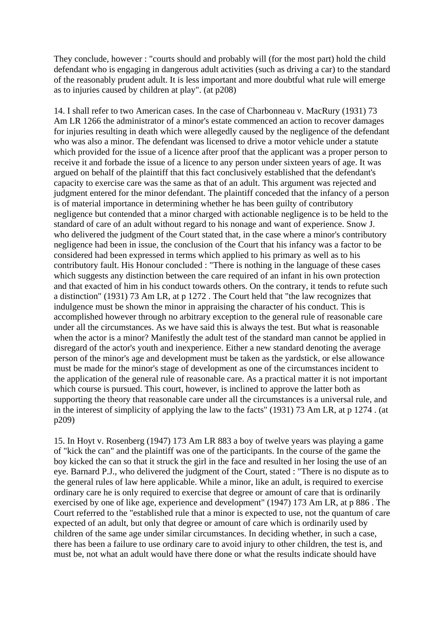They conclude, however : "courts should and probably will (for the most part) hold the child defendant who is engaging in dangerous adult activities (such as driving a car) to the standard of the reasonably prudent adult. It is less important and more doubtful what rule will emerge as to injuries caused by children at play". (at p208)

14. I shall refer to two American cases. In the case of Charbonneau v. MacRury (1931) 73 Am LR 1266 the administrator of a minor's estate commenced an action to recover damages for injuries resulting in death which were allegedly caused by the negligence of the defendant who was also a minor. The defendant was licensed to drive a motor vehicle under a statute which provided for the issue of a licence after proof that the applicant was a proper person to receive it and forbade the issue of a licence to any person under sixteen years of age. It was argued on behalf of the plaintiff that this fact conclusively established that the defendant's capacity to exercise care was the same as that of an adult. This argument was rejected and judgment entered for the minor defendant. The plaintiff conceded that the infancy of a person is of material importance in determining whether he has been guilty of contributory negligence but contended that a minor charged with actionable negligence is to be held to the standard of care of an adult without regard to his nonage and want of experience. Snow J. who delivered the judgment of the Court stated that, in the case where a minor's contributory negligence had been in issue, the conclusion of the Court that his infancy was a factor to be considered had been expressed in terms which applied to his primary as well as to his contributory fault. His Honour concluded : "There is nothing in the language of these cases which suggests any distinction between the care required of an infant in his own protection and that exacted of him in his conduct towards others. On the contrary, it tends to refute such a distinction" (1931) 73 Am LR, at p 1272 . The Court held that "the law recognizes that indulgence must be shown the minor in appraising the character of his conduct. This is accomplished however through no arbitrary exception to the general rule of reasonable care under all the circumstances. As we have said this is always the test. But what is reasonable when the actor is a minor? Manifestly the adult test of the standard man cannot be applied in disregard of the actor's youth and inexperience. Either a new standard denoting the average person of the minor's age and development must be taken as the yardstick, or else allowance must be made for the minor's stage of development as one of the circumstances incident to the application of the general rule of reasonable care. As a practical matter it is not important which course is pursued. This court, however, is inclined to approve the latter both as supporting the theory that reasonable care under all the circumstances is a universal rule, and in the interest of simplicity of applying the law to the facts" (1931) 73 Am LR, at p 1274 . (at p209)

15. In Hoyt v. Rosenberg (1947) 173 Am LR 883 a boy of twelve years was playing a game of "kick the can" and the plaintiff was one of the participants. In the course of the game the boy kicked the can so that it struck the girl in the face and resulted in her losing the use of an eye. Barnard P.J., who delivered the judgment of the Court, stated : "There is no dispute as to the general rules of law here applicable. While a minor, like an adult, is required to exercise ordinary care he is only required to exercise that degree or amount of care that is ordinarily exercised by one of like age, experience and development" (1947) 173 Am LR, at p 886 . The Court referred to the "established rule that a minor is expected to use, not the quantum of care expected of an adult, but only that degree or amount of care which is ordinarily used by children of the same age under similar circumstances. In deciding whether, in such a case, there has been a failure to use ordinary care to avoid injury to other children, the test is, and must be, not what an adult would have there done or what the results indicate should have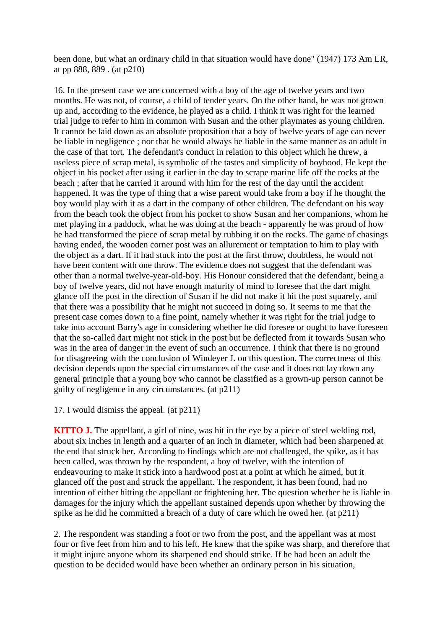been done, but what an ordinary child in that situation would have done" (1947) 173 Am LR, at pp 888, 889 . (at p210)

16. In the present case we are concerned with a boy of the age of twelve years and two months. He was not, of course, a child of tender years. On the other hand, he was not grown up and, according to the evidence, he played as a child. I think it was right for the learned trial judge to refer to him in common with Susan and the other playmates as young children. It cannot be laid down as an absolute proposition that a boy of twelve years of age can never be liable in negligence ; nor that he would always be liable in the same manner as an adult in the case of that tort. The defendant's conduct in relation to this object which he threw, a useless piece of scrap metal, is symbolic of the tastes and simplicity of boyhood. He kept the object in his pocket after using it earlier in the day to scrape marine life off the rocks at the beach ; after that he carried it around with him for the rest of the day until the accident happened. It was the type of thing that a wise parent would take from a boy if he thought the boy would play with it as a dart in the company of other children. The defendant on his way from the beach took the object from his pocket to show Susan and her companions, whom he met playing in a paddock, what he was doing at the beach - apparently he was proud of how he had transformed the piece of scrap metal by rubbing it on the rocks. The game of chasings having ended, the wooden corner post was an allurement or temptation to him to play with the object as a dart. If it had stuck into the post at the first throw, doubtless, he would not have been content with one throw. The evidence does not suggest that the defendant was other than a normal twelve-year-old-boy. His Honour considered that the defendant, being a boy of twelve years, did not have enough maturity of mind to foresee that the dart might glance off the post in the direction of Susan if he did not make it hit the post squarely, and that there was a possibility that he might not succeed in doing so. It seems to me that the present case comes down to a fine point, namely whether it was right for the trial judge to take into account Barry's age in considering whether he did foresee or ought to have foreseen that the so-called dart might not stick in the post but be deflected from it towards Susan who was in the area of danger in the event of such an occurrence. I think that there is no ground for disagreeing with the conclusion of Windeyer J. on this question. The correctness of this decision depends upon the special circumstances of the case and it does not lay down any general principle that a young boy who cannot be classified as a grown-up person cannot be guilty of negligence in any circumstances. (at p211)

17. I would dismiss the appeal. (at p211)

**KITTO J.** The appellant, a girl of nine, was hit in the eye by a piece of steel welding rod, about six inches in length and a quarter of an inch in diameter, which had been sharpened at the end that struck her. According to findings which are not challenged, the spike, as it has been called, was thrown by the respondent, a boy of twelve, with the intention of endeavouring to make it stick into a hardwood post at a point at which he aimed, but it glanced off the post and struck the appellant. The respondent, it has been found, had no intention of either hitting the appellant or frightening her. The question whether he is liable in damages for the injury which the appellant sustained depends upon whether by throwing the spike as he did he committed a breach of a duty of care which he owed her. (at p211)

2. The respondent was standing a foot or two from the post, and the appellant was at most four or five feet from him and to his left. He knew that the spike was sharp, and therefore that it might injure anyone whom its sharpened end should strike. If he had been an adult the question to be decided would have been whether an ordinary person in his situation,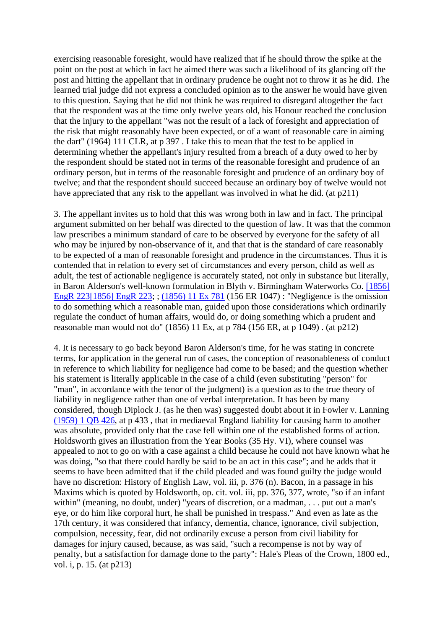exercising reasonable foresight, would have realized that if he should throw the spike at the point on the post at which in fact he aimed there was such a likelihood of its glancing off the post and hitting the appellant that in ordinary prudence he ought not to throw it as he did. The learned trial judge did not express a concluded opinion as to the answer he would have given to this question. Saying that he did not think he was required to disregard altogether the fact that the respondent was at the time only twelve years old, his Honour reached the conclusion that the injury to the appellant "was not the result of a lack of foresight and appreciation of the risk that might reasonably have been expected, or of a want of reasonable care in aiming the dart" (1964) 111 CLR, at p 397 . I take this to mean that the test to be applied in determining whether the appellant's injury resulted from a breach of a duty owed to her by the respondent should be stated not in terms of the reasonable foresight and prudence of an ordinary person, but in terms of the reasonable foresight and prudence of an ordinary boy of twelve; and that the respondent should succeed because an ordinary boy of twelve would not have appreciated that any risk to the appellant was involved in what he did. (at p211)

3. The appellant invites us to hold that this was wrong both in law and in fact. The principal argument submitted on her behalf was directed to the question of law. It was that the common law prescribes a minimum standard of care to be observed by everyone for the safety of all who may be injured by non-observance of it, and that that is the standard of care reasonably to be expected of a man of reasonable foresight and prudence in the circumstances. Thus it is contended that in relation to every set of circumstances and every person, child as well as adult, the test of actionable negligence is accurately stated, not only in substance but literally, in Baron Alderson's well-known formulation in Blyth v. Birmingham Waterworks Co. [1856] EngR 223[1856] EngR 223; ; (1856) 11 Ex 781 (156 ER 1047) : "Negligence is the omission to do something which a reasonable man, guided upon those considerations which ordinarily regulate the conduct of human affairs, would do, or doing something which a prudent and reasonable man would not do" (1856) 11 Ex, at p 784 (156 ER, at p 1049) . (at p212)

4. It is necessary to go back beyond Baron Alderson's time, for he was stating in concrete terms, for application in the general run of cases, the conception of reasonableness of conduct in reference to which liability for negligence had come to be based; and the question whether his statement is literally applicable in the case of a child (even substituting "person" for "man", in accordance with the tenor of the judgment) is a question as to the true theory of liability in negligence rather than one of verbal interpretation. It has been by many considered, though Diplock J. (as he then was) suggested doubt about it in Fowler v. Lanning (1959) 1 QB 426, at p 433 , that in mediaeval England liability for causing harm to another was absolute, provided only that the case fell within one of the established forms of action. Holdsworth gives an illustration from the Year Books (35 Hy. VI), where counsel was appealed to not to go on with a case against a child because he could not have known what he was doing, "so that there could hardly be said to be an act in this case"; and he adds that it seems to have been admitted that if the child pleaded and was found guilty the judge would have no discretion: History of English Law, vol. iii, p. 376 (n). Bacon, in a passage in his Maxims which is quoted by Holdsworth, op. cit. vol. iii, pp. 376, 377, wrote, "so if an infant within" (meaning, no doubt, under) "years of discretion, or a madman, . . . put out a man's eye, or do him like corporal hurt, he shall be punished in trespass." And even as late as the 17th century, it was considered that infancy, dementia, chance, ignorance, civil subjection, compulsion, necessity, fear, did not ordinarily excuse a person from civil liability for damages for injury caused, because, as was said, "such a recompense is not by way of penalty, but a satisfaction for damage done to the party": Hale's Pleas of the Crown, 1800 ed., vol. i, p. 15. (at p213)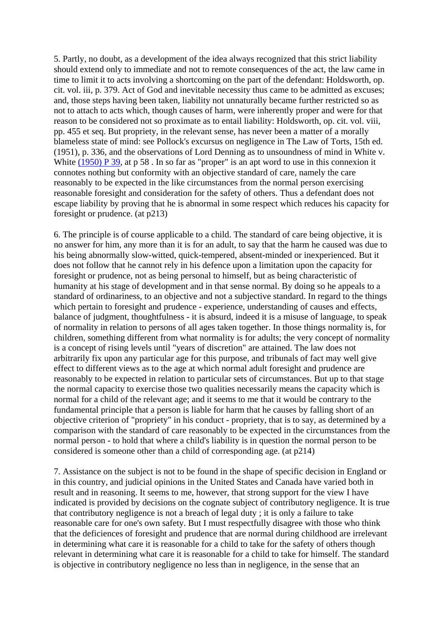5. Partly, no doubt, as a development of the idea always recognized that this strict liability should extend only to immediate and not to remote consequences of the act, the law came in time to limit it to acts involving a shortcoming on the part of the defendant: Holdsworth, op. cit. vol. iii, p. 379. Act of God and inevitable necessity thus came to be admitted as excuses; and, those steps having been taken, liability not unnaturally became further restricted so as not to attach to acts which, though causes of harm, were inherently proper and were for that reason to be considered not so proximate as to entail liability: Holdsworth, op. cit. vol. viii, pp. 455 et seq. But propriety, in the relevant sense, has never been a matter of a morally blameless state of mind: see Pollock's excursus on negligence in The Law of Torts, 15th ed. (1951), p. 336, and the observations of Lord Denning as to unsoundness of mind in White v. White (1950) P 39, at p 58. In so far as "proper" is an apt word to use in this connexion it connotes nothing but conformity with an objective standard of care, namely the care reasonably to be expected in the like circumstances from the normal person exercising reasonable foresight and consideration for the safety of others. Thus a defendant does not escape liability by proving that he is abnormal in some respect which reduces his capacity for foresight or prudence. (at p213)

6. The principle is of course applicable to a child. The standard of care being objective, it is no answer for him, any more than it is for an adult, to say that the harm he caused was due to his being abnormally slow-witted, quick-tempered, absent-minded or inexperienced. But it does not follow that he cannot rely in his defence upon a limitation upon the capacity for foresight or prudence, not as being personal to himself, but as being characteristic of humanity at his stage of development and in that sense normal. By doing so he appeals to a standard of ordinariness, to an objective and not a subjective standard. In regard to the things which pertain to foresight and prudence - experience, understanding of causes and effects, balance of judgment, thoughtfulness - it is absurd, indeed it is a misuse of language, to speak of normality in relation to persons of all ages taken together. In those things normality is, for children, something different from what normality is for adults; the very concept of normality is a concept of rising levels until "years of discretion" are attained. The law does not arbitrarily fix upon any particular age for this purpose, and tribunals of fact may well give effect to different views as to the age at which normal adult foresight and prudence are reasonably to be expected in relation to particular sets of circumstances. But up to that stage the normal capacity to exercise those two qualities necessarily means the capacity which is normal for a child of the relevant age; and it seems to me that it would be contrary to the fundamental principle that a person is liable for harm that he causes by falling short of an objective criterion of "propriety" in his conduct - propriety, that is to say, as determined by a comparison with the standard of care reasonably to be expected in the circumstances from the normal person - to hold that where a child's liability is in question the normal person to be considered is someone other than a child of corresponding age. (at p214)

7. Assistance on the subject is not to be found in the shape of specific decision in England or in this country, and judicial opinions in the United States and Canada have varied both in result and in reasoning. It seems to me, however, that strong support for the view I have indicated is provided by decisions on the cognate subject of contributory negligence. It is true that contributory negligence is not a breach of legal duty ; it is only a failure to take reasonable care for one's own safety. But I must respectfully disagree with those who think that the deficiences of foresight and prudence that are normal during childhood are irrelevant in determining what care it is reasonable for a child to take for the safety of others though relevant in determining what care it is reasonable for a child to take for himself. The standard is objective in contributory negligence no less than in negligence, in the sense that an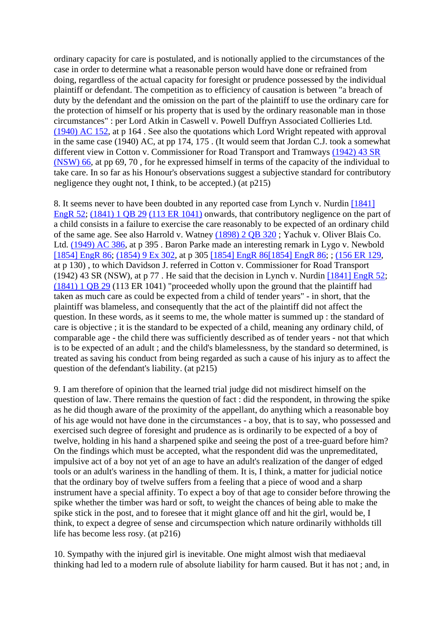ordinary capacity for care is postulated, and is notionally applied to the circumstances of the case in order to determine what a reasonable person would have done or refrained from doing, regardless of the actual capacity for foresight or prudence possessed by the individual plaintiff or defendant. The competition as to efficiency of causation is between "a breach of duty by the defendant and the omission on the part of the plaintiff to use the ordinary care for the protection of himself or his property that is used by the ordinary reasonable man in those circumstances" : per Lord Atkin in Caswell v. Powell Duffryn Associated Collieries Ltd. (1940) AC 152, at p 164 . See also the quotations which Lord Wright repeated with approval in the same case (1940) AC, at pp 174, 175 . (It would seem that Jordan C.J. took a somewhat different view in Cotton v. Commissioner for Road Transport and Tramways (1942) 43 SR (NSW) 66, at pp 69, 70 , for he expressed himself in terms of the capacity of the individual to take care. In so far as his Honour's observations suggest a subjective standard for contributory negligence they ought not, I think, to be accepted.) (at p215)

8. It seems never to have been doubted in any reported case from Lynch v. Nurdin [1841] EngR 52; (1841) 1 QB 29 (113 ER 1041) onwards, that contributory negligence on the part of a child consists in a failure to exercise the care reasonably to be expected of an ordinary child of the same age. See also Harrold v. Watney (1898) 2 QB 320 ; Yachuk v. Oliver Blais Co. Ltd. (1949) AC 386, at p 395 . Baron Parke made an interesting remark in Lygo v. Newbold [1854] EngR 86; (1854) 9 Ex 302, at p 305 [1854] EngR 86[1854] EngR 86; ; (156 ER 129, at p 130) , to which Davidson J. referred in Cotton v. Commissioner for Road Transport (1942) 43 SR (NSW), at p 77 . He said that the decision in Lynch v. Nurdin [1841] EngR 52; (1841) 1 QB 29 (113 ER 1041) "proceeded wholly upon the ground that the plaintiff had taken as much care as could be expected from a child of tender years" - in short, that the plaintiff was blameless, and consequently that the act of the plaintiff did not affect the question. In these words, as it seems to me, the whole matter is summed up : the standard of care is objective ; it is the standard to be expected of a child, meaning any ordinary child, of comparable age - the child there was sufficiently described as of tender years - not that which is to be expected of an adult ; and the child's blamelessness, by the standard so determined, is treated as saving his conduct from being regarded as such a cause of his injury as to affect the question of the defendant's liability. (at p215)

9. I am therefore of opinion that the learned trial judge did not misdirect himself on the question of law. There remains the question of fact : did the respondent, in throwing the spike as he did though aware of the proximity of the appellant, do anything which a reasonable boy of his age would not have done in the circumstances - a boy, that is to say, who possessed and exercised such degree of foresight and prudence as is ordinarily to be expected of a boy of twelve, holding in his hand a sharpened spike and seeing the post of a tree-guard before him? On the findings which must be accepted, what the respondent did was the unpremeditated, impulsive act of a boy not yet of an age to have an adult's realization of the danger of edged tools or an adult's wariness in the handling of them. It is, I think, a matter for judicial notice that the ordinary boy of twelve suffers from a feeling that a piece of wood and a sharp instrument have a special affinity. To expect a boy of that age to consider before throwing the spike whether the timber was hard or soft, to weight the chances of being able to make the spike stick in the post, and to foresee that it might glance off and hit the girl, would be, I think, to expect a degree of sense and circumspection which nature ordinarily withholds till life has become less rosy. (at p216)

10. Sympathy with the injured girl is inevitable. One might almost wish that mediaeval thinking had led to a modern rule of absolute liability for harm caused. But it has not ; and, in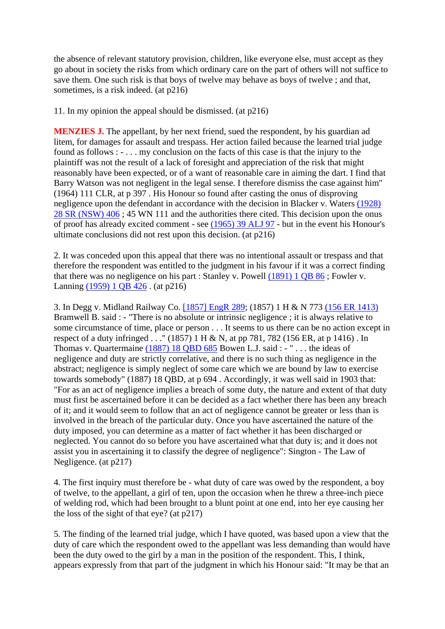the absence of relevant statutory provision, children, like everyone else, must accept as they go about in society the risks from which ordinary care on the part of others will not suffice to save them. One such risk is that boys of twelve may behave as boys of twelve ; and that, sometimes, is a risk indeed. (at p216)

11. In my opinion the appeal should be dismissed. (at p216)

**MENZIES J.** The appellant, by her next friend, sued the respondent, by his guardian ad litem, for damages for assault and trespass. Her action failed because the learned trial judge found as follows : - . . . my conclusion on the facts of this case is that the injury to the plaintiff was not the result of a lack of foresight and appreciation of the risk that might reasonably have been expected, or of a want of reasonable care in aiming the dart. I find that Barry Watson was not negligent in the legal sense. I therefore dismiss the case against him" (1964) 111 CLR, at p 397 . His Honour so found after casting the onus of disproving negligence upon the defendant in accordance with the decision in Blacker v. Waters (1928) 28 SR (NSW) 406 ; 45 WN 111 and the authorities there cited. This decision upon the onus of proof has already excited comment - see (1965) 39 ALJ 97 - but in the event his Honour's ultimate conclusions did not rest upon this decision. (at p216)

2. It was conceded upon this appeal that there was no intentional assault or trespass and that therefore the respondent was entitled to the judgment in his favour if it was a correct finding that there was no negligence on his part : Stanley v. Powell (1891) 1 QB 86 ; Fowler v. Lanning (1959) 1 QB 426 . (at p216)

3. In Degg v. Midland Railway Co. [1857] EngR 289; (1857) 1 H & N 773 (156 ER 1413) Bramwell B. said : - "There is no absolute or intrinsic negligence ; it is always relative to some circumstance of time, place or person . . . It seems to us there can be no action except in respect of a duty infringed . . ." (1857) 1 H & N, at pp 781, 782 (156 ER, at p 1416) . In Thomas v. Quartermaine (1887) 18 QBD 685 Bowen L.J. said : - " . . . the ideas of negligence and duty are strictly correlative, and there is no such thing as negligence in the abstract; negligence is simply neglect of some care which we are bound by law to exercise towards somebody" (1887) 18 QBD, at p 694 . Accordingly, it was well said in 1903 that: "For as an act of negligence implies a breach of some duty, the nature and extent of that duty must first be ascertained before it can be decided as a fact whether there has been any breach of it; and it would seem to follow that an act of negligence cannot be greater or less than is involved in the breach of the particular duty. Once you have ascertained the nature of the duty imposed, you can determine as a matter of fact whether it has been discharged or neglected. You cannot do so before you have ascertained what that duty is; and it does not assist you in ascertaining it to classify the degree of negligence": Sington - The Law of Negligence. (at p217)

4. The first inquiry must therefore be - what duty of care was owed by the respondent, a boy of twelve, to the appellant, a girl of ten, upon the occasion when he threw a three-inch piece of welding rod, which had been brought to a blunt point at one end, into her eye causing her the loss of the sight of that eye? (at p217)

5. The finding of the learned trial judge, which I have quoted, was based upon a view that the duty of care which the respondent owed to the appellant was less demanding than would have been the duty owed to the girl by a man in the position of the respondent. This, I think, appears expressly from that part of the judgment in which his Honour said: "It may be that an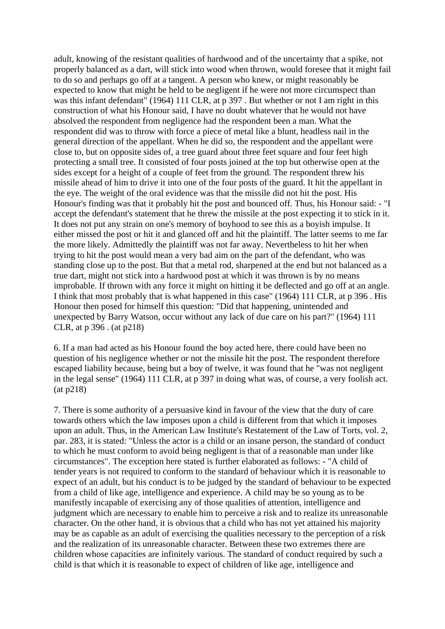adult, knowing of the resistant qualities of hardwood and of the uncertainty that a spike, not properly balanced as a dart, will stick into wood when thrown, would foresee that it might fail to do so and perhaps go off at a tangent. A person who knew, or might reasonably be expected to know that might be held to be negligent if he were not more circumspect than was this infant defendant" (1964) 111 CLR, at p 397 . But whether or not I am right in this construction of what his Honour said, I have no doubt whatever that he would not have absolved the respondent from negligence had the respondent been a man. What the respondent did was to throw with force a piece of metal like a blunt, headless nail in the general direction of the appellant. When he did so, the respondent and the appellant were close to, but on opposite sides of, a tree guard about three feet square and four feet high protecting a small tree. It consisted of four posts joined at the top but otherwise open at the sides except for a height of a couple of feet from the ground. The respondent threw his missile ahead of him to drive it into one of the four posts of the guard. It hit the appellant in the eye. The weight of the oral evidence was that the missile did not hit the post. His Honour's finding was that it probably hit the post and bounced off. Thus, his Honour said: - "I accept the defendant's statement that he threw the missile at the post expecting it to stick in it. It does not put any strain on one's memory of boyhood to see this as a boyish impulse. It either missed the post or hit it and glanced off and hit the plaintiff. The latter seems to me far the more likely. Admittedly the plaintiff was not far away. Nevertheless to hit her when trying to hit the post would mean a very bad aim on the part of the defendant, who was standing close up to the post. But that a metal rod, sharpened at the end but not balanced as a true dart, might not stick into a hardwood post at which it was thrown is by no means improbable. If thrown with any force it might on hitting it be deflected and go off at an angle. I think that most probably that is what happened in this case" (1964) 111 CLR, at p 396 . His Honour then posed for himself this question: "Did that happening, unintended and unexpected by Barry Watson, occur without any lack of due care on his part?" (1964) 111 CLR, at p 396 . (at p218)

6. If a man had acted as his Honour found the boy acted here, there could have been no question of his negligence whether or not the missile hit the post. The respondent therefore escaped liability because, being but a boy of twelve, it was found that he "was not negligent in the legal sense" (1964) 111 CLR, at p 397 in doing what was, of course, a very foolish act. (at p218)

7. There is some authority of a persuasive kind in favour of the view that the duty of care towards others which the law imposes upon a child is different from that which it imposes upon an adult. Thus, in the American Law Institute's Restatement of the Law of Torts, vol. 2, par. 283, it is stated: "Unless the actor is a child or an insane person, the standard of conduct to which he must conform to avoid being negligent is that of a reasonable man under like circumstances". The exception here stated is further elaborated as follows: - "A child of tender years is not required to conform to the standard of behaviour which it is reasonable to expect of an adult, but his conduct is to be judged by the standard of behaviour to be expected from a child of like age, intelligence and experience. A child may be so young as to be manifestly incapable of exercising any of those qualities of attention, intelligence and judgment which are necessary to enable him to perceive a risk and to realize its unreasonable character. On the other hand, it is obvious that a child who has not yet attained his majority may be as capable as an adult of exercising the qualities necessary to the perception of a risk and the realization of its unreasonable character. Between these two extremes there are children whose capacities are infinitely various. The standard of conduct required by such a child is that which it is reasonable to expect of children of like age, intelligence and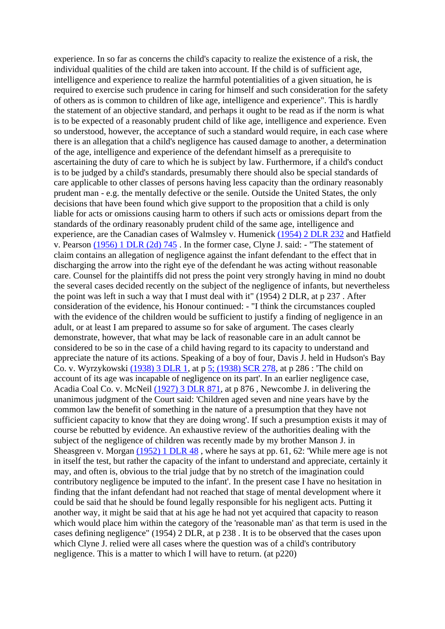experience. In so far as concerns the child's capacity to realize the existence of a risk, the individual qualities of the child are taken into account. If the child is of sufficient age, intelligence and experience to realize the harmful potentialities of a given situation, he is required to exercise such prudence in caring for himself and such consideration for the safety of others as is common to children of like age, intelligence and experience". This is hardly the statement of an objective standard, and perhaps it ought to be read as if the norm is what is to be expected of a reasonably prudent child of like age, intelligence and experience. Even so understood, however, the acceptance of such a standard would require, in each case where there is an allegation that a child's negligence has caused damage to another, a determination of the age, intelligence and experience of the defendant himself as a prerequisite to ascertaining the duty of care to which he is subject by law. Furthermore, if a child's conduct is to be judged by a child's standards, presumably there should also be special standards of care applicable to other classes of persons having less capacity than the ordinary reasonably prudent man - e.g. the mentally defective or the senile. Outside the United States, the only decisions that have been found which give support to the proposition that a child is only liable for acts or omissions causing harm to others if such acts or omissions depart from the standards of the ordinary reasonably prudent child of the same age, intelligence and experience, are the Canadian cases of Walmsley v. Humenick (1954) 2 DLR 232 and Hatfield v. Pearson (1956) 1 DLR (2d) 745 . In the former case, Clyne J. said: - "The statement of claim contains an allegation of negligence against the infant defendant to the effect that in discharging the arrow into the right eye of the defendant he was acting without reasonable care. Counsel for the plaintiffs did not press the point very strongly having in mind no doubt the several cases decided recently on the subject of the negligence of infants, but nevertheless the point was left in such a way that I must deal with it" (1954) 2 DLR, at p 237 . After consideration of the evidence, his Honour continued: - "I think the circumstances coupled with the evidence of the children would be sufficient to justify a finding of negligence in an adult, or at least I am prepared to assume so for sake of argument. The cases clearly demonstrate, however, that what may be lack of reasonable care in an adult cannot be considered to be so in the case of a child having regard to its capacity to understand and appreciate the nature of its actions. Speaking of a boy of four, Davis J. held in Hudson's Bay Co. v. Wyrzykowski (1938) 3 DLR 1, at p 5; (1938) SCR 278, at p 286 : 'The child on account of its age was incapable of negligence on its part'. In an earlier negligence case, Acadia Coal Co. v. McNeil (1927) 3 DLR 871, at p 876 , Newcombe J. in delivering the unanimous judgment of the Court said: 'Children aged seven and nine years have by the common law the benefit of something in the nature of a presumption that they have not sufficient capacity to know that they are doing wrong'. If such a presumption exists it may of course be rebutted by evidence. An exhaustive review of the authorities dealing with the subject of the negligence of children was recently made by my brother Manson J. in Sheasgreen v. Morgan (1952) 1 DLR 48 , where he says at pp. 61, 62: 'While mere age is not in itself the test, but rather the capacity of the infant to understand and appreciate, certainly it may, and often is, obvious to the trial judge that by no stretch of the imagination could contributory negligence be imputed to the infant'. In the present case I have no hesitation in finding that the infant defendant had not reached that stage of mental development where it could be said that he should be found legally responsible for his negligent acts. Putting it another way, it might be said that at his age he had not yet acquired that capacity to reason which would place him within the category of the 'reasonable man' as that term is used in the cases defining negligence" (1954) 2 DLR, at p 238 . It is to be observed that the cases upon which Clyne J. relied were all cases where the question was of a child's contributory negligence. This is a matter to which I will have to return. (at p220)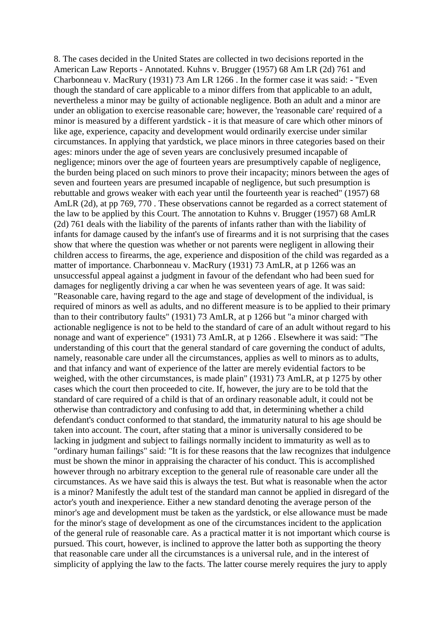8. The cases decided in the United States are collected in two decisions reported in the American Law Reports - Annotated. Kuhns v. Brugger (1957) 68 Am LR (2d) 761 and Charbonneau v. MacRury (1931) 73 Am LR 1266 . In the former case it was said: - "Even though the standard of care applicable to a minor differs from that applicable to an adult, nevertheless a minor may be guilty of actionable negligence. Both an adult and a minor are under an obligation to exercise reasonable care; however, the 'reasonable care' required of a minor is measured by a different yardstick - it is that measure of care which other minors of like age, experience, capacity and development would ordinarily exercise under similar circumstances. In applying that yardstick, we place minors in three categories based on their ages: minors under the age of seven years are conclusively presumed incapable of negligence; minors over the age of fourteen years are presumptively capable of negligence, the burden being placed on such minors to prove their incapacity; minors between the ages of seven and fourteen years are presumed incapable of negligence, but such presumption is rebuttable and grows weaker with each year until the fourteenth year is reached" (1957) 68 AmLR (2d), at pp 769, 770. These observations cannot be regarded as a correct statement of the law to be applied by this Court. The annotation to Kuhns v. Brugger (1957) 68 AmLR (2d) 761 deals with the liability of the parents of infants rather than with the liability of infants for damage caused by the infant's use of firearms and it is not surprising that the cases show that where the question was whether or not parents were negligent in allowing their children access to firearms, the age, experience and disposition of the child was regarded as a matter of importance. Charbonneau v. MacRury (1931) 73 AmLR, at p 1266 was an unsuccessful appeal against a judgment in favour of the defendant who had been sued for damages for negligently driving a car when he was seventeen years of age. It was said: "Reasonable care, having regard to the age and stage of development of the individual, is required of minors as well as adults, and no different measure is to be applied to their primary than to their contributory faults" (1931) 73 AmLR, at p 1266 but "a minor charged with actionable negligence is not to be held to the standard of care of an adult without regard to his nonage and want of experience" (1931) 73 AmLR, at p 1266 . Elsewhere it was said: "The understanding of this court that the general standard of care governing the conduct of adults, namely, reasonable care under all the circumstances, applies as well to minors as to adults, and that infancy and want of experience of the latter are merely evidential factors to be weighed, with the other circumstances, is made plain" (1931) 73 AmLR, at p 1275 by other cases which the court then proceeded to cite. If, however, the jury are to be told that the standard of care required of a child is that of an ordinary reasonable adult, it could not be otherwise than contradictory and confusing to add that, in determining whether a child defendant's conduct conformed to that standard, the immaturity natural to his age should be taken into account. The court, after stating that a minor is universally considered to be lacking in judgment and subject to failings normally incident to immaturity as well as to "ordinary human failings" said: "It is for these reasons that the law recognizes that indulgence must be shown the minor in appraising the character of his conduct. This is accomplished however through no arbitrary exception to the general rule of reasonable care under all the circumstances. As we have said this is always the test. But what is reasonable when the actor is a minor? Manifestly the adult test of the standard man cannot be applied in disregard of the actor's youth and inexperience. Either a new standard denoting the average person of the minor's age and development must be taken as the yardstick, or else allowance must be made for the minor's stage of development as one of the circumstances incident to the application of the general rule of reasonable care. As a practical matter it is not important which course is pursued. This court, however, is inclined to approve the latter both as supporting the theory that reasonable care under all the circumstances is a universal rule, and in the interest of simplicity of applying the law to the facts. The latter course merely requires the jury to apply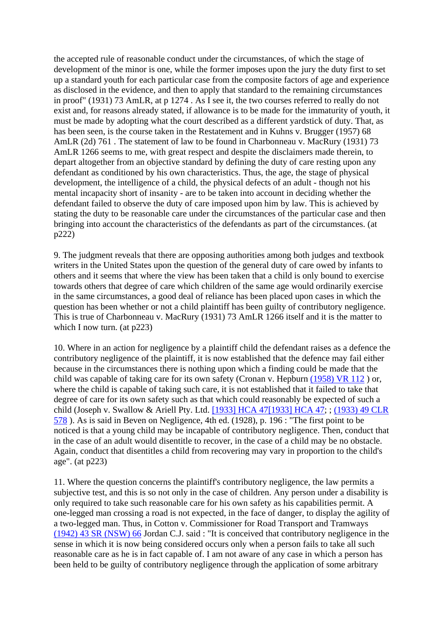the accepted rule of reasonable conduct under the circumstances, of which the stage of development of the minor is one, while the former imposes upon the jury the duty first to set up a standard youth for each particular case from the composite factors of age and experience as disclosed in the evidence, and then to apply that standard to the remaining circumstances in proof" (1931) 73 AmLR, at p 1274 . As I see it, the two courses referred to really do not exist and, for reasons already stated, if allowance is to be made for the immaturity of youth, it must be made by adopting what the court described as a different yardstick of duty. That, as has been seen, is the course taken in the Restatement and in Kuhns v. Brugger (1957) 68 AmLR (2d) 761 . The statement of law to be found in Charbonneau v. MacRury (1931) 73 AmLR 1266 seems to me, with great respect and despite the disclaimers made therein, to depart altogether from an objective standard by defining the duty of care resting upon any defendant as conditioned by his own characteristics. Thus, the age, the stage of physical development, the intelligence of a child, the physical defects of an adult - though not his mental incapacity short of insanity - are to be taken into account in deciding whether the defendant failed to observe the duty of care imposed upon him by law. This is achieved by stating the duty to be reasonable care under the circumstances of the particular case and then bringing into account the characteristics of the defendants as part of the circumstances. (at p222)

9. The judgment reveals that there are opposing authorities among both judges and textbook writers in the United States upon the question of the general duty of care owed by infants to others and it seems that where the view has been taken that a child is only bound to exercise towards others that degree of care which children of the same age would ordinarily exercise in the same circumstances, a good deal of reliance has been placed upon cases in which the question has been whether or not a child plaintiff has been guilty of contributory negligence. This is true of Charbonneau v. MacRury (1931) 73 AmLR 1266 itself and it is the matter to which I now turn. (at p223)

10. Where in an action for negligence by a plaintiff child the defendant raises as a defence the contributory negligence of the plaintiff, it is now established that the defence may fail either because in the circumstances there is nothing upon which a finding could be made that the child was capable of taking care for its own safety (Cronan v. Hepburn (1958) VR 112 ) or, where the child is capable of taking such care, it is not established that it failed to take that degree of care for its own safety such as that which could reasonably be expected of such a child (Joseph v. Swallow & Ariell Pty. Ltd. [1933] HCA 47[1933] HCA 47; ; (1933) 49 CLR 578 ). As is said in Beven on Negligence, 4th ed. (1928), p. 196 : "The first point to be noticed is that a young child may be incapable of contributory negligence. Then, conduct that in the case of an adult would disentitle to recover, in the case of a child may be no obstacle. Again, conduct that disentitles a child from recovering may vary in proportion to the child's age". (at p223)

11. Where the question concerns the plaintiff's contributory negligence, the law permits a subjective test, and this is so not only in the case of children. Any person under a disability is only required to take such reasonable care for his own safety as his capabilities permit. A one-legged man crossing a road is not expected, in the face of danger, to display the agility of a two-legged man. Thus, in Cotton v. Commissioner for Road Transport and Tramways (1942) 43 SR (NSW) 66 Jordan C.J. said : "It is conceived that contributory negligence in the sense in which it is now being considered occurs only when a person fails to take all such reasonable care as he is in fact capable of. I am not aware of any case in which a person has been held to be guilty of contributory negligence through the application of some arbitrary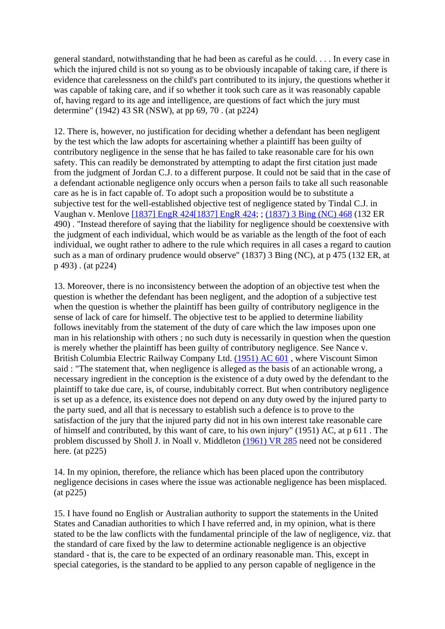general standard, notwithstanding that he had been as careful as he could. . . . In every case in which the injured child is not so young as to be obviously incapable of taking care, if there is evidence that carelessness on the child's part contributed to its injury, the questions whether it was capable of taking care, and if so whether it took such care as it was reasonably capable of, having regard to its age and intelligence, are questions of fact which the jury must determine" (1942) 43 SR (NSW), at pp 69, 70 . (at p224)

12. There is, however, no justification for deciding whether a defendant has been negligent by the test which the law adopts for ascertaining whether a plaintiff has been guilty of contributory negligence in the sense that he has failed to take reasonable care for his own safety. This can readily be demonstrated by attempting to adapt the first citation just made from the judgment of Jordan C.J. to a different purpose. It could not be said that in the case of a defendant actionable negligence only occurs when a person fails to take all such reasonable care as he is in fact capable of. To adopt such a proposition would be to substitute a subjective test for the well-established objective test of negligence stated by Tindal C.J. in Vaughan v. Menlove [1837] EngR 424[1837] EngR 424; ; (1837) 3 Bing (NC) 468 (132 ER 490) . "Instead therefore of saying that the liability for negligence should be coextensive with the judgment of each individual, which would be as variable as the length of the foot of each individual, we ought rather to adhere to the rule which requires in all cases a regard to caution such as a man of ordinary prudence would observe" (1837) 3 Bing (NC), at p 475 (132 ER, at p 493) . (at p224)

13. Moreover, there is no inconsistency between the adoption of an objective test when the question is whether the defendant has been negligent, and the adoption of a subjective test when the question is whether the plaintiff has been guilty of contributory negligence in the sense of lack of care for himself. The objective test to be applied to determine liability follows inevitably from the statement of the duty of care which the law imposes upon one man in his relationship with others ; no such duty is necessarily in question when the question is merely whether the plaintiff has been guilty of contributory negligence. See Nance v. British Columbia Electric Railway Company Ltd. (1951) AC 601 , where Viscount Simon said : "The statement that, when negligence is alleged as the basis of an actionable wrong, a necessary ingredient in the conception is the existence of a duty owed by the defendant to the plaintiff to take due care, is, of course, indubitably correct. But when contributory negligence is set up as a defence, its existence does not depend on any duty owed by the injured party to the party sued, and all that is necessary to establish such a defence is to prove to the satisfaction of the jury that the injured party did not in his own interest take reasonable care of himself and contributed, by this want of care, to his own injury" (1951) AC, at p 611 . The problem discussed by Sholl J. in Noall v. Middleton (1961) VR 285 need not be considered here. (at p225)

14. In my opinion, therefore, the reliance which has been placed upon the contributory negligence decisions in cases where the issue was actionable negligence has been misplaced. (at p225)

15. I have found no English or Australian authority to support the statements in the United States and Canadian authorities to which I have referred and, in my opinion, what is there stated to be the law conflicts with the fundamental principle of the law of negligence, viz. that the standard of care fixed by the law to determine actionable negligence is an objective standard - that is, the care to be expected of an ordinary reasonable man. This, except in special categories, is the standard to be applied to any person capable of negligence in the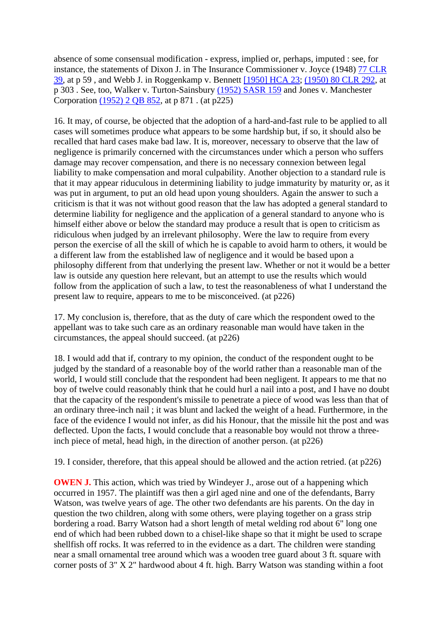absence of some consensual modification - express, implied or, perhaps, imputed : see, for instance, the statements of Dixon J. in The Insurance Commissioner v. Joyce (1948) 77 CLR 39, at p 59 , and Webb J. in Roggenkamp v. Bennett [1950] HCA 23; (1950) 80 CLR 292, at p 303 . See, too, Walker v. Turton-Sainsbury (1952) SASR 159 and Jones v. Manchester Corporation (1952) 2 QB 852, at p 871 . (at p225)

16. It may, of course, be objected that the adoption of a hard-and-fast rule to be applied to all cases will sometimes produce what appears to be some hardship but, if so, it should also be recalled that hard cases make bad law. It is, moreover, necessary to observe that the law of negligence is primarily concerned with the circumstances under which a person who suffers damage may recover compensation, and there is no necessary connexion between legal liability to make compensation and moral culpability. Another objection to a standard rule is that it may appear riduculous in determining liability to judge immaturity by maturity or, as it was put in argument, to put an old head upon young shoulders. Again the answer to such a criticism is that it was not without good reason that the law has adopted a general standard to determine liability for negligence and the application of a general standard to anyone who is himself either above or below the standard may produce a result that is open to criticism as ridiculous when judged by an irrelevant philosophy. Were the law to require from every person the exercise of all the skill of which he is capable to avoid harm to others, it would be a different law from the established law of negligence and it would be based upon a philosophy different from that underlying the present law. Whether or not it would be a better law is outside any question here relevant, but an attempt to use the results which would follow from the application of such a law, to test the reasonableness of what I understand the present law to require, appears to me to be misconceived. (at p226)

17. My conclusion is, therefore, that as the duty of care which the respondent owed to the appellant was to take such care as an ordinary reasonable man would have taken in the circumstances, the appeal should succeed. (at p226)

18. I would add that if, contrary to my opinion, the conduct of the respondent ought to be judged by the standard of a reasonable boy of the world rather than a reasonable man of the world, I would still conclude that the respondent had been negligent. It appears to me that no boy of twelve could reasonably think that he could hurl a nail into a post, and I have no doubt that the capacity of the respondent's missile to penetrate a piece of wood was less than that of an ordinary three-inch nail ; it was blunt and lacked the weight of a head. Furthermore, in the face of the evidence I would not infer, as did his Honour, that the missile hit the post and was deflected. Upon the facts, I would conclude that a reasonable boy would not throw a threeinch piece of metal, head high, in the direction of another person. (at p226)

19. I consider, therefore, that this appeal should be allowed and the action retried. (at p226)

**OWEN J.** This action, which was tried by Windeyer J., arose out of a happening which occurred in 1957. The plaintiff was then a girl aged nine and one of the defendants, Barry Watson, was twelve years of age. The other two defendants are his parents. On the day in question the two children, along with some others, were playing together on a grass strip bordering a road. Barry Watson had a short length of metal welding rod about 6" long one end of which had been rubbed down to a chisel-like shape so that it might be used to scrape shellfish off rocks. It was referred to in the evidence as a dart. The children were standing near a small ornamental tree around which was a wooden tree guard about 3 ft. square with corner posts of 3" X 2" hardwood about 4 ft. high. Barry Watson was standing within a foot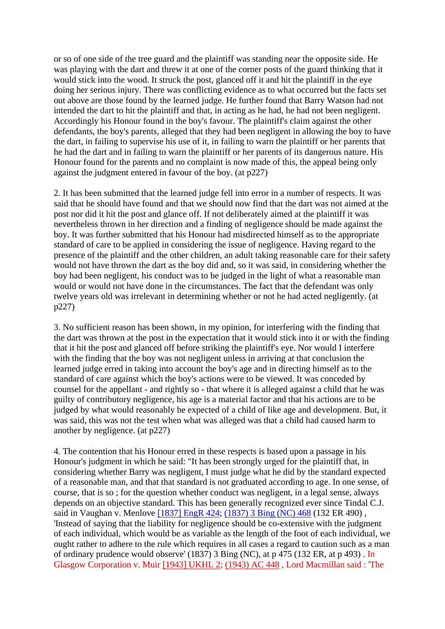or so of one side of the tree guard and the plaintiff was standing near the opposite side. He was playing with the dart and threw it at one of the corner posts of the guard thinking that it would stick into the wood. It struck the post, glanced off it and hit the plaintiff in the eye doing her serious injury. There was conflicting evidence as to what occurred but the facts set out above are those found by the learned judge. He further found that Barry Watson had not intended the dart to hit the plaintiff and that, in acting as he had, he had not been negligent. Accordingly his Honour found in the boy's favour. The plaintiff's claim against the other defendants, the boy's parents, alleged that they had been negligent in allowing the boy to have the dart, in failing to supervise his use of it, in failing to warn the plaintiff or her parents that he had the dart and in failing to warn the plaintiff or her parents of its dangerous nature. His Honour found for the parents and no complaint is now made of this, the appeal being only against the judgment entered in favour of the boy. (at p227)

2. It has been submitted that the learned judge fell into error in a number of respects. It was said that he should have found and that we should now find that the dart was not aimed at the post nor did it hit the post and glance off. If not deliberately aimed at the plaintiff it was nevertheless thrown in her direction and a finding of negligence should be made against the boy. It was further submitted that his Honour had misdirected himself as to the appropriate standard of care to be applied in considering the issue of negligence. Having regard to the presence of the plaintiff and the other children, an adult taking reasonable care for their safety would not have thrown the dart as the boy did and, so it was said, in considering whether the boy had been negligent, his conduct was to be judged in the light of what a reasonable man would or would not have done in the circumstances. The fact that the defendant was only twelve years old was irrelevant in determining whether or not he had acted negligently. (at p227)

3. No sufficient reason has been shown, in my opinion, for interfering with the finding that the dart was thrown at the post in the expectation that it would stick into it or with the finding that it hit the post and glanced off before striking the plaintiff's eye. Nor would I interfere with the finding that the boy was not negligent unless in arriving at that conclusion the learned judge erred in taking into account the boy's age and in directing himself as to the standard of care against which the boy's actions were to be viewed. It was conceded by counsel for the appellant - and rightly so - that where it is alleged against a child that he was guilty of contributory negligence, his age is a material factor and that his actions are to be judged by what would reasonably be expected of a child of like age and development. But, it was said, this was not the test when what was alleged was that a child had caused harm to another by negligence. (at p227)

4. The contention that his Honour erred in these respects is based upon a passage in his Honour's judgment in which he said: "It has been strongly urged for the plaintiff that, in considering whether Barry was negligent, I must judge what he did by the standard expected of a reasonable man, and that that standard is not graduated according to age. In one sense, of course, that is so ; for the question whether conduct was negligent, in a legal sense, always depends on an objective standard. This has been generally recognized ever since Tindal C.J. said in Vaughan v. Menlove [1837] EngR 424; (1837) 3 Bing (NC) 468 (132 ER 490) , 'Instead of saying that the liability for negligence should be co-extensive with the judgment of each individual, which would be as variable as the length of the foot of each individual, we ought rather to adhere to the rule which requires in all cases a regard to caution such as a man of ordinary prudence would observe' (1837) 3 Bing (NC), at p 475 (132 ER, at p 493) . In Glasgow Corporation v. Muir [1943] UKHL 2; (1943) AC 448 , Lord Macmillan said : 'The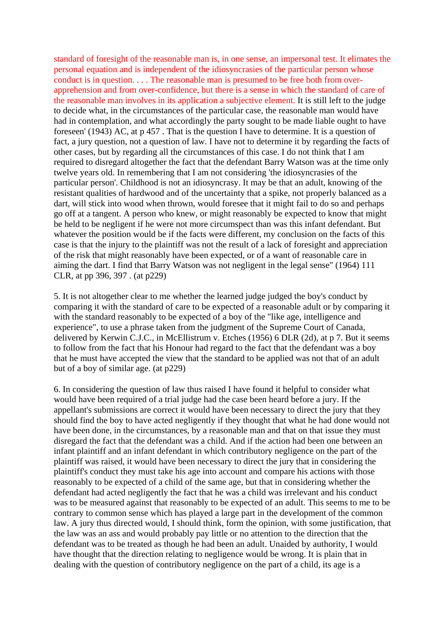standard of foresight of the reasonable man is, in one sense, an impersonal test. It elimates the personal equation and is independent of the idiosyncrasies of the particular person whose conduct is in question. . . . The reasonable man is presumed to be free both from overapprehension and from over-confidence, but there is a sense in which the standard of care of the reasonable man involves in its application a subjective element. It is still left to the judge to decide what, in the circumstances of the particular case, the reasonable man would have had in contemplation, and what accordingly the party sought to be made liable ought to have foreseen' (1943) AC, at p 457 . That is the question I have to determine. It is a question of fact, a jury question, not a question of law. I have not to determine it by regarding the facts of other cases, but by regarding all the circumstances of this case. I do not think that I am required to disregard altogether the fact that the defendant Barry Watson was at the time only twelve years old. In remembering that I am not considering 'the idiosyncrasies of the particular person'. Childhood is not an idiosyncrasy. It may be that an adult, knowing of the resistant qualities of hardwood and of the uncertainty that a spike, not properly balanced as a dart, will stick into wood when thrown, would foresee that it might fail to do so and perhaps go off at a tangent. A person who knew, or might reasonably be expected to know that might be held to be negligent if he were not more circumspect than was this infant defendant. But whatever the position would be if the facts were different, my conclusion on the facts of this case is that the injury to the plaintiff was not the result of a lack of foresight and appreciation of the risk that might reasonably have been expected, or of a want of reasonable care in aiming the dart. I find that Barry Watson was not negligent in the legal sense" (1964) 111 CLR, at pp 396, 397 . (at p229)

5. It is not altogether clear to me whether the learned judge judged the boy's conduct by comparing it with the standard of care to be expected of a reasonable adult or by comparing it with the standard reasonably to be expected of a boy of the "like age, intelligence and experience", to use a phrase taken from the judgment of the Supreme Court of Canada, delivered by Kerwin C.J.C., in McEllistrum v. Etches (1956) 6 DLR (2d), at p 7. But it seems to follow from the fact that his Honour had regard to the fact that the defendant was a boy that he must have accepted the view that the standard to be applied was not that of an adult but of a boy of similar age. (at p229)

6. In considering the question of law thus raised I have found it helpful to consider what would have been required of a trial judge had the case been heard before a jury. If the appellant's submissions are correct it would have been necessary to direct the jury that they should find the boy to have acted negligently if they thought that what he had done would not have been done, in the circumstances, by a reasonable man and that on that issue they must disregard the fact that the defendant was a child. And if the action had been one between an infant plaintiff and an infant defendant in which contributory negligence on the part of the plaintiff was raised, it would have been necessary to direct the jury that in considering the plaintiff's conduct they must take his age into account and compare his actions with those reasonably to be expected of a child of the same age, but that in considering whether the defendant had acted negligently the fact that he was a child was irrelevant and his conduct was to be measured against that reasonably to be expected of an adult. This seems to me to be contrary to common sense which has played a large part in the development of the common law. A jury thus directed would, I should think, form the opinion, with some justification, that the law was an ass and would probably pay little or no attention to the direction that the defendant was to be treated as though he had been an adult. Unaided by authority, I would have thought that the direction relating to negligence would be wrong. It is plain that in dealing with the question of contributory negligence on the part of a child, its age is a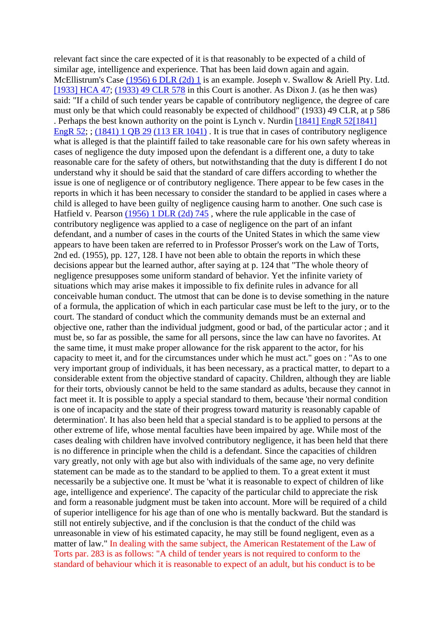relevant fact since the care expected of it is that reasonably to be expected of a child of similar age, intelligence and experience. That has been laid down again and again. McEllistrum's Case (1956) 6 DLR (2d) 1 is an example. Joseph v. Swallow & Ariell Pty. Ltd. [1933] HCA 47; (1933) 49 CLR 578 in this Court is another. As Dixon J. (as he then was) said: "If a child of such tender years be capable of contributory negligence, the degree of care must only be that which could reasonably be expected of childhood" (1933) 49 CLR, at p 586 . Perhaps the best known authority on the point is Lynch v. Nurdin [1841] EngR 52[1841] EngR 52; ;  $(1841)$  1 QB 29 (113 ER 1041). It is true that in cases of contributory negligence what is alleged is that the plaintiff failed to take reasonable care for his own safety whereas in cases of negligence the duty imposed upon the defendant is a different one, a duty to take reasonable care for the safety of others, but notwithstanding that the duty is different I do not understand why it should be said that the standard of care differs according to whether the issue is one of negligence or of contributory negligence. There appear to be few cases in the reports in which it has been necessary to consider the standard to be applied in cases where a child is alleged to have been guilty of negligence causing harm to another. One such case is Hatfield v. Pearson (1956) 1 DLR (2d) 745 , where the rule applicable in the case of contributory negligence was applied to a case of negligence on the part of an infant defendant, and a number of cases in the courts of the United States in which the same view appears to have been taken are referred to in Professor Prosser's work on the Law of Torts, 2nd ed. (1955), pp. 127, 128. I have not been able to obtain the reports in which these decisions appear but the learned author, after saying at p. 124 that "The whole theory of negligence presupposes some uniform standard of behavior. Yet the infinite variety of situations which may arise makes it impossible to fix definite rules in advance for all conceivable human conduct. The utmost that can be done is to devise something in the nature of a formula, the application of which in each particular case must be left to the jury, or to the court. The standard of conduct which the community demands must be an external and objective one, rather than the individual judgment, good or bad, of the particular actor ; and it must be, so far as possible, the same for all persons, since the law can have no favorites. At the same time, it must make proper allowance for the risk apparent to the actor, for his capacity to meet it, and for the circumstances under which he must act." goes on : "As to one very important group of individuals, it has been necessary, as a practical matter, to depart to a considerable extent from the objective standard of capacity. Children, although they are liable for their torts, obviously cannot be held to the same standard as adults, because they cannot in fact meet it. It is possible to apply a special standard to them, because 'their normal condition is one of incapacity and the state of their progress toward maturity is reasonably capable of determination'. It has also been held that a special standard is to be applied to persons at the other extreme of life, whose mental faculties have been impaired by age. While most of the cases dealing with children have involved contributory negligence, it has been held that there is no difference in principle when the child is a defendant. Since the capacities of children vary greatly, not only with age but also with individuals of the same age, no very definite statement can be made as to the standard to be applied to them. To a great extent it must necessarily be a subjective one. It must be 'what it is reasonable to expect of children of like age, intelligence and experience'. The capacity of the particular child to appreciate the risk and form a reasonable judgment must be taken into account. More will be required of a child of superior intelligence for his age than of one who is mentally backward. But the standard is still not entirely subjective, and if the conclusion is that the conduct of the child was unreasonable in view of his estimated capacity, he may still be found negligent, even as a matter of law." In dealing with the same subject, the American Restatement of the Law of Torts par. 283 is as follows: "A child of tender years is not required to conform to the standard of behaviour which it is reasonable to expect of an adult, but his conduct is to be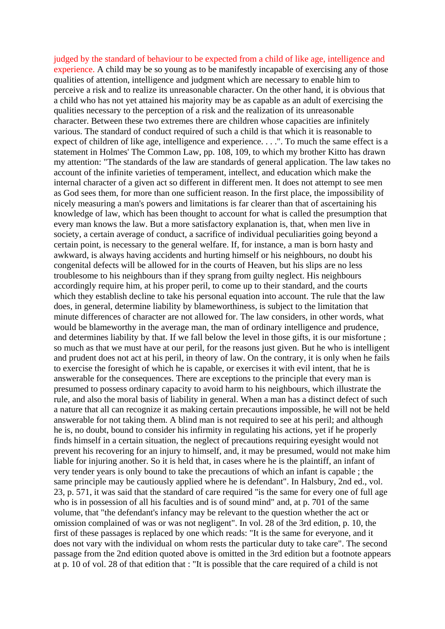judged by the standard of behaviour to be expected from a child of like age, intelligence and experience. A child may be so young as to be manifestly incapable of exercising any of those qualities of attention, intelligence and judgment which are necessary to enable him to perceive a risk and to realize its unreasonable character. On the other hand, it is obvious that a child who has not yet attained his majority may be as capable as an adult of exercising the qualities necessary to the perception of a risk and the realization of its unreasonable character. Between these two extremes there are children whose capacities are infinitely various. The standard of conduct required of such a child is that which it is reasonable to expect of children of like age, intelligence and experience. . . .". To much the same effect is a statement in Holmes' The Common Law, pp. 108, 109, to which my brother Kitto has drawn my attention: "The standards of the law are standards of general application. The law takes no account of the infinite varieties of temperament, intellect, and education which make the internal character of a given act so different in different men. It does not attempt to see men as God sees them, for more than one sufficient reason. In the first place, the impossibility of nicely measuring a man's powers and limitations is far clearer than that of ascertaining his knowledge of law, which has been thought to account for what is called the presumption that every man knows the law. But a more satisfactory explanation is, that, when men live in society, a certain average of conduct, a sacrifice of individual peculiarities going beyond a certain point, is necessary to the general welfare. If, for instance, a man is born hasty and awkward, is always having accidents and hurting himself or his neighbours, no doubt his congenital defects will be allowed for in the courts of Heaven, but his slips are no less troublesome to his neighbours than if they sprang from guilty neglect. His neighbours accordingly require him, at his proper peril, to come up to their standard, and the courts which they establish decline to take his personal equation into account. The rule that the law does, in general, determine liability by blameworthiness, is subject to the limitation that minute differences of character are not allowed for. The law considers, in other words, what would be blameworthy in the average man, the man of ordinary intelligence and prudence, and determines liability by that. If we fall below the level in those gifts, it is our misfortune ; so much as that we must have at our peril, for the reasons just given. But he who is intelligent and prudent does not act at his peril, in theory of law. On the contrary, it is only when he fails to exercise the foresight of which he is capable, or exercises it with evil intent, that he is answerable for the consequences. There are exceptions to the principle that every man is presumed to possess ordinary capacity to avoid harm to his neighbours, which illustrate the rule, and also the moral basis of liability in general. When a man has a distinct defect of such a nature that all can recognize it as making certain precautions impossible, he will not be held answerable for not taking them. A blind man is not required to see at his peril; and although he is, no doubt, bound to consider his infirmity in regulating his actions, yet if he properly finds himself in a certain situation, the neglect of precautions requiring eyesight would not prevent his recovering for an injury to himself, and, it may be presumed, would not make him liable for injuring another. So it is held that, in cases where he is the plaintiff, an infant of very tender years is only bound to take the precautions of which an infant is capable ; the same principle may be cautiously applied where he is defendant". In Halsbury, 2nd ed., vol. 23, p. 571, it was said that the standard of care required "is the same for every one of full age who is in possession of all his faculties and is of sound mind" and, at p. 701 of the same volume, that "the defendant's infancy may be relevant to the question whether the act or omission complained of was or was not negligent". In vol. 28 of the 3rd edition, p. 10, the first of these passages is replaced by one which reads: "It is the same for everyone, and it does not vary with the individual on whom rests the particular duty to take care". The second passage from the 2nd edition quoted above is omitted in the 3rd edition but a footnote appears at p. 10 of vol. 28 of that edition that : "It is possible that the care required of a child is not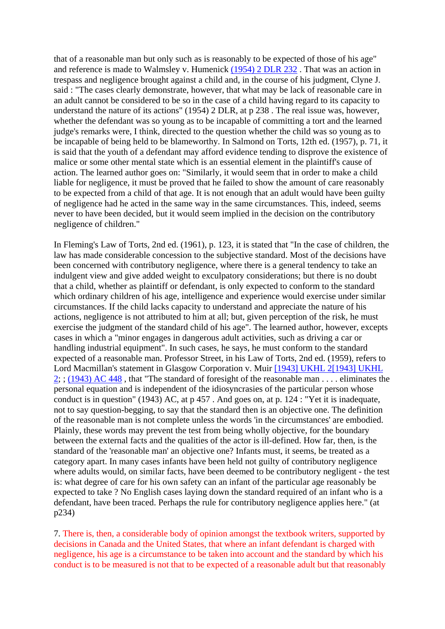that of a reasonable man but only such as is reasonably to be expected of those of his age" and reference is made to Walmsley v. Humenick (1954) 2 DLR 232. That was an action in trespass and negligence brought against a child and, in the course of his judgment, Clyne J. said : "The cases clearly demonstrate, however, that what may be lack of reasonable care in an adult cannot be considered to be so in the case of a child having regard to its capacity to understand the nature of its actions" (1954) 2 DLR, at p 238 . The real issue was, however, whether the defendant was so young as to be incapable of committing a tort and the learned judge's remarks were, I think, directed to the question whether the child was so young as to be incapable of being held to be blameworthy. In Salmond on Torts, 12th ed. (1957), p. 71, it is said that the youth of a defendant may afford evidence tending to disprove the existence of malice or some other mental state which is an essential element in the plaintiff's cause of action. The learned author goes on: "Similarly, it would seem that in order to make a child liable for negligence, it must be proved that he failed to show the amount of care reasonably to be expected from a child of that age. It is not enough that an adult would have been guilty of negligence had he acted in the same way in the same circumstances. This, indeed, seems never to have been decided, but it would seem implied in the decision on the contributory negligence of children."

In Fleming's Law of Torts, 2nd ed. (1961), p. 123, it is stated that "In the case of children, the law has made considerable concession to the subjective standard. Most of the decisions have been concerned with contributory negligence, where there is a general tendency to take an indulgent view and give added weight to exculpatory considerations; but there is no doubt that a child, whether as plaintiff or defendant, is only expected to conform to the standard which ordinary children of his age, intelligence and experience would exercise under similar circumstances. If the child lacks capacity to understand and appreciate the nature of his actions, negligence is not attributed to him at all; but, given perception of the risk, he must exercise the judgment of the standard child of his age". The learned author, however, excepts cases in which a "minor engages in dangerous adult activities, such as driving a car or handling industrial equipment". In such cases, he says, he must conform to the standard expected of a reasonable man. Professor Street, in his Law of Torts, 2nd ed. (1959), refers to Lord Macmillan's statement in Glasgow Corporation v. Muir [1943] UKHL 2[1943] UKHL 2; ; (1943) AC 448 , that "The standard of foresight of the reasonable man . . . . eliminates the personal equation and is independent of the idiosyncrasies of the particular person whose conduct is in question" (1943) AC, at p 457 . And goes on, at p. 124 : "Yet it is inadequate, not to say question-begging, to say that the standard then is an objective one. The definition of the reasonable man is not complete unless the words 'in the circumstances' are embodied. Plainly, these words may prevent the test from being wholly objective, for the boundary between the external facts and the qualities of the actor is ill-defined. How far, then, is the standard of the 'reasonable man' an objective one? Infants must, it seems, be treated as a category apart. In many cases infants have been held not guilty of contributory negligence where adults would, on similar facts, have been deemed to be contributory negligent - the test is: what degree of care for his own safety can an infant of the particular age reasonably be expected to take ? No English cases laying down the standard required of an infant who is a defendant, have been traced. Perhaps the rule for contributory negligence applies here." (at p234)

7. There is, then, a considerable body of opinion amongst the textbook writers, supported by decisions in Canada and the United States, that where an infant defendant is charged with negligence, his age is a circumstance to be taken into account and the standard by which his conduct is to be measured is not that to be expected of a reasonable adult but that reasonably